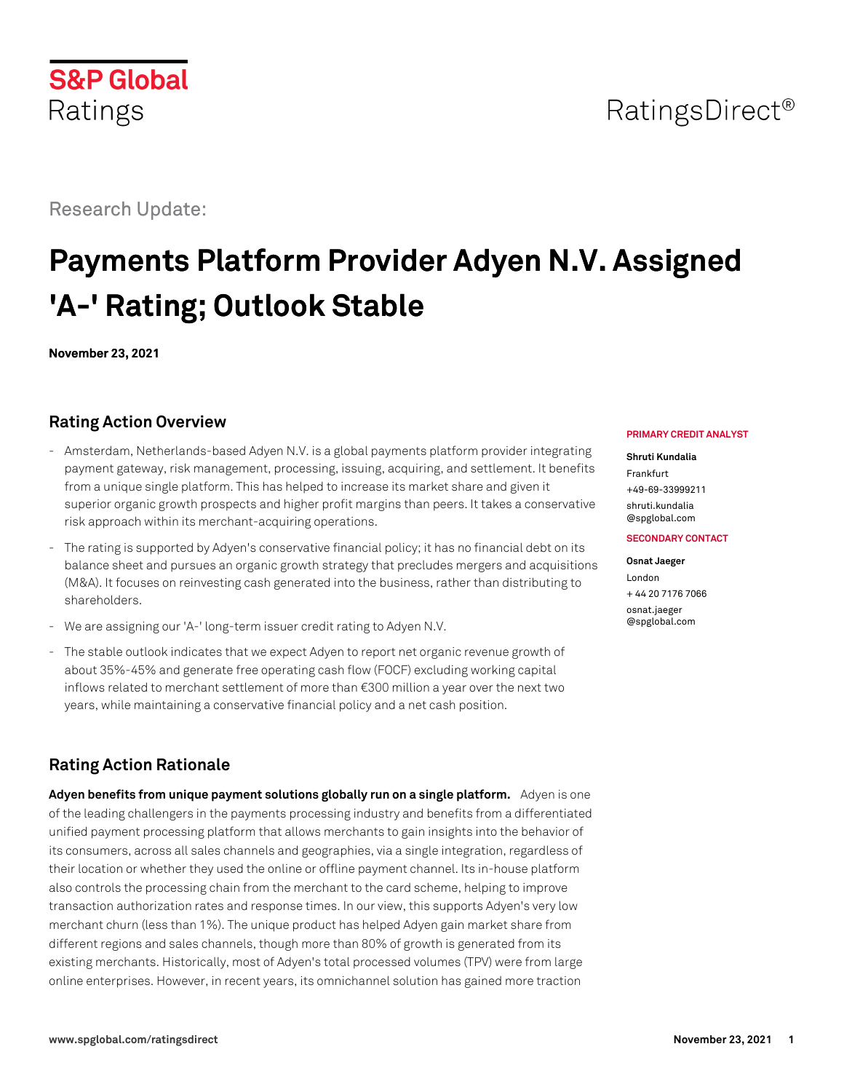# RatingsDirect<sup>®</sup>

Research Update:

# **Payments Platform Provider Adyen N.V. Assigned 'A-' Rating; Outlook Stable**

**November 23, 2021**

# **Rating Action Overview**

- Amsterdam, Netherlands-based Adyen N.V. is a global payments platform provider integrating payment gateway, risk management, processing, issuing, acquiring, and settlement. It benefits from a unique single platform. This has helped to increase its market share and given it superior organic growth prospects and higher profit margins than peers. It takes a conservative risk approach within its merchant-acquiring operations.
- The rating is supported by Adyen's conservative financial policy; it has no financial debt on its balance sheet and pursues an organic growth strategy that precludes mergers and acquisitions (M&A). It focuses on reinvesting cash generated into the business, rather than distributing to shareholders.
- We are assigning our 'A-' long-term issuer credit rating to Adyen N.V.
- The stable outlook indicates that we expect Adyen to report net organic revenue growth of about 35%-45% and generate free operating cash flow (FOCF) excluding working capital inflows related to merchant settlement of more than €300 million a year over the next two years, while maintaining a conservative financial policy and a net cash position.

# **Rating Action Rationale**

**Adyen benefits from unique payment solutions globally run on a single platform.** Adyen is one of the leading challengers in the payments processing industry and benefits from a differentiated unified payment processing platform that allows merchants to gain insights into the behavior of its consumers, across all sales channels and geographies, via a single integration, regardless of their location or whether they used the online or offline payment channel. Its in-house platform also controls the processing chain from the merchant to the card scheme, helping to improve transaction authorization rates and response times. In our view, this supports Adyen's very low merchant churn (less than 1%). The unique product has helped Adyen gain market share from different regions and sales channels, though more than 80% of growth is generated from its existing merchants. Historically, most of Adyen's total processed volumes (TPV) were from large online enterprises. However, in recent years, its omnichannel solution has gained more traction

#### **PRIMARY CREDIT ANALYST**

#### **Shruti Kundalia**

Frankfurt +49-69-33999211 [shruti.kundalia](mailto:shruti.kundalia@spglobal.com)

[@spglobal.com](mailto:shruti.kundalia@spglobal.com)

#### **SECONDARY CONTACT**

**Osnat Jaeger** London + 44 20 7176 7066 [osnat.jaeger](mailto:osnat.jaeger@spglobal.com) [@spglobal.com](mailto:osnat.jaeger@spglobal.com)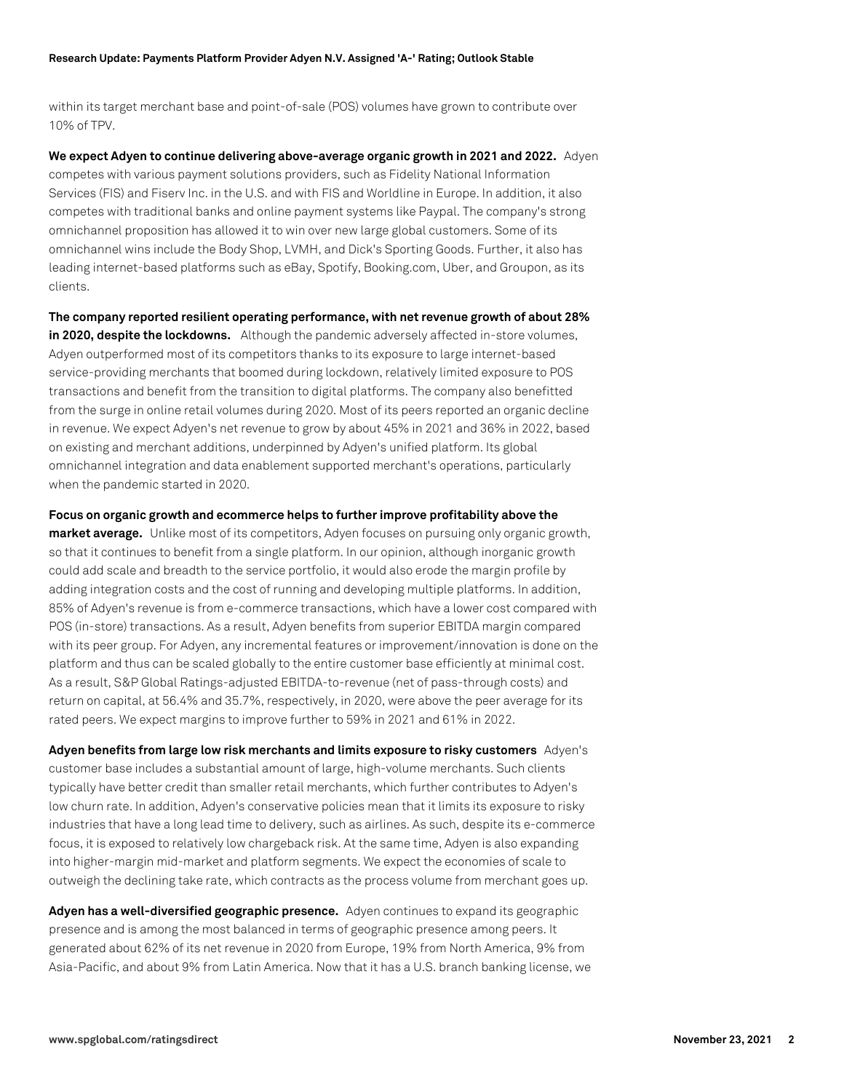within its target merchant base and point-of-sale (POS) volumes have grown to contribute over 10% of TPV.

**We expect Adyen to continue delivering above-average organic growth in 2021 and 2022.** Adyen competes with various payment solutions providers, such as Fidelity National Information Services (FIS) and Fiserv Inc. in the U.S. and with FIS and Worldline in Europe. In addition, it also competes with traditional banks and online payment systems like Paypal. The company's strong omnichannel proposition has allowed it to win over new large global customers. Some of its omnichannel wins include the Body Shop, LVMH, and Dick's Sporting Goods. Further, it also has leading internet-based platforms such as eBay, Spotify, Booking.com, Uber, and Groupon, as its clients.

**The company reported resilient operating performance, with net revenue growth of about 28% in 2020, despite the lockdowns.** Although the pandemic adversely affected in-store volumes, Adyen outperformed most of its competitors thanks to its exposure to large internet-based service-providing merchants that boomed during lockdown, relatively limited exposure to POS transactions and benefit from the transition to digital platforms. The company also benefitted from the surge in online retail volumes during 2020. Most of its peers reported an organic decline in revenue. We expect Adyen's net revenue to grow by about 45% in 2021 and 36% in 2022, based on existing and merchant additions, underpinned by Adyen's unified platform. Its global omnichannel integration and data enablement supported merchant's operations, particularly when the pandemic started in 2020.

**Focus on organic growth and ecommerce helps to further improve profitability above the market average.** Unlike most of its competitors, Adyen focuses on pursuing only organic growth, so that it continues to benefit from a single platform. In our opinion, although inorganic growth could add scale and breadth to the service portfolio, it would also erode the margin profile by adding integration costs and the cost of running and developing multiple platforms. In addition, 85% of Adyen's revenue is from e-commerce transactions, which have a lower cost compared with POS (in-store) transactions. As a result, Adyen benefits from superior EBITDA margin compared with its peer group. For Adyen, any incremental features or improvement/innovation is done on the platform and thus can be scaled globally to the entire customer base efficiently at minimal cost. As a result, S&P Global Ratings-adjusted EBITDA-to-revenue (net of pass-through costs) and return on capital, at 56.4% and 35.7%, respectively, in 2020, were above the peer average for its rated peers. We expect margins to improve further to 59% in 2021 and 61% in 2022.

**Adyen benefits from large low risk merchants and limits exposure to risky customers** Adyen's customer base includes a substantial amount of large, high-volume merchants. Such clients typically have better credit than smaller retail merchants, which further contributes to Adyen's low churn rate. In addition, Adyen's conservative policies mean that it limits its exposure to risky industries that have a long lead time to delivery, such as airlines. As such, despite its e-commerce focus, it is exposed to relatively low chargeback risk. At the same time, Adyen is also expanding into higher-margin mid-market and platform segments. We expect the economies of scale to outweigh the declining take rate, which contracts as the process volume from merchant goes up.

**Adyen has a well-diversified geographic presence.** Adyen continues to expand its geographic presence and is among the most balanced in terms of geographic presence among peers. It generated about 62% of its net revenue in 2020 from Europe, 19% from North America, 9% from Asia-Pacific, and about 9% from Latin America. Now that it has a U.S. branch banking license, we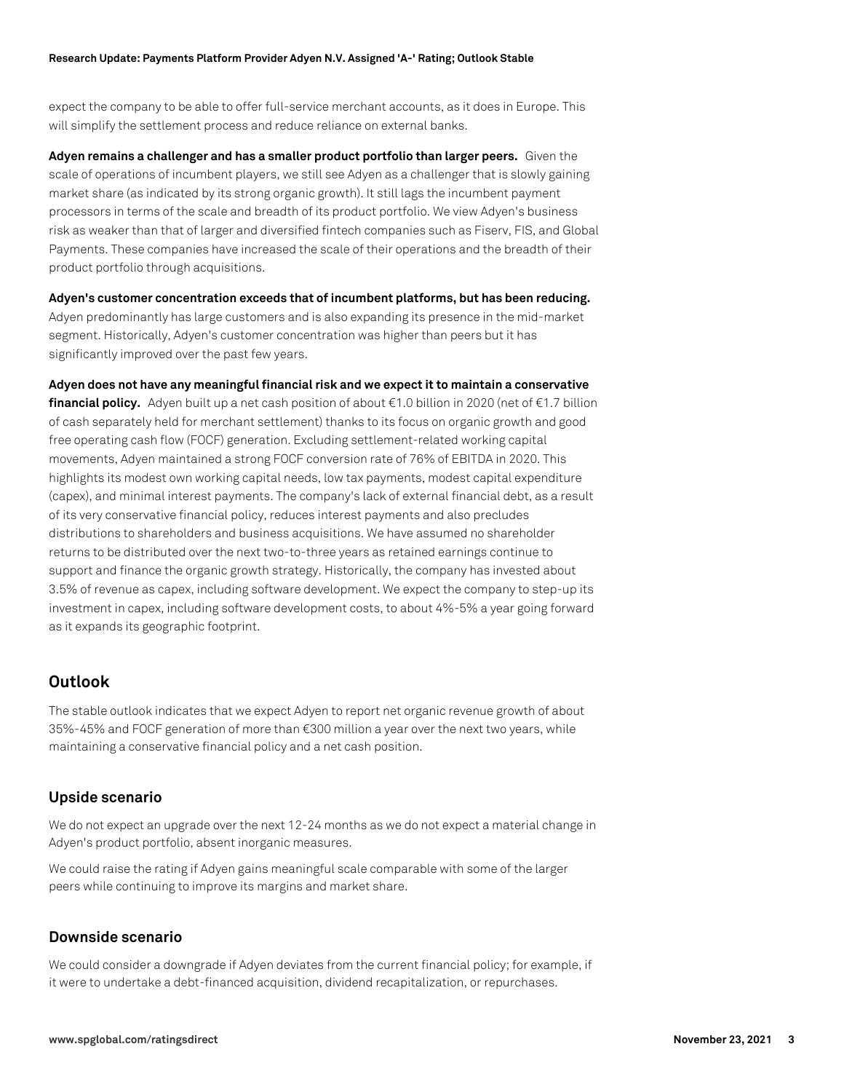expect the company to be able to offer full-service merchant accounts, as it does in Europe. This will simplify the settlement process and reduce reliance on external banks.

**Adyen remains a challenger and has a smaller product portfolio than larger peers.** Given the scale of operations of incumbent players, we still see Adyen as a challenger that is slowly gaining market share (as indicated by its strong organic growth). It still lags the incumbent payment processors in terms of the scale and breadth of its product portfolio. We view Adyen's business risk as weaker than that of larger and diversified fintech companies such as Fiserv, FIS, and Global Payments. These companies have increased the scale of their operations and the breadth of their product portfolio through acquisitions.

**Adyen's customer concentration exceeds that of incumbent platforms, but has been reducing.** Adyen predominantly has large customers and is also expanding its presence in the mid-market segment. Historically, Adyen's customer concentration was higher than peers but it has significantly improved over the past few years.

**Adyen does not have any meaningful financial risk and we expect it to maintain a conservative financial policy.** Adyen built up a net cash position of about €1.0 billion in 2020 (net of €1.7 billion of cash separately held for merchant settlement) thanks to its focus on organic growth and good free operating cash flow (FOCF) generation. Excluding settlement-related working capital movements, Adyen maintained a strong FOCF conversion rate of 76% of EBITDA in 2020. This highlights its modest own working capital needs, low tax payments, modest capital expenditure (capex), and minimal interest payments. The company's lack of external financial debt, as a result of its very conservative financial policy, reduces interest payments and also precludes distributions to shareholders and business acquisitions. We have assumed no shareholder returns to be distributed over the next two-to-three years as retained earnings continue to support and finance the organic growth strategy. Historically, the company has invested about 3.5% of revenue as capex, including software development. We expect the company to step-up its investment in capex, including software development costs, to about 4%-5% a year going forward as it expands its geographic footprint.

# **Outlook**

The stable outlook indicates that we expect Adyen to report net organic revenue growth of about 35%-45% and FOCF generation of more than €300 million a year over the next two years, while maintaining a conservative financial policy and a net cash position.

### **Upside scenario**

We do not expect an upgrade over the next 12-24 months as we do not expect a material change in Adyen's product portfolio, absent inorganic measures.

We could raise the rating if Adyen gains meaningful scale comparable with some of the larger peers while continuing to improve its margins and market share.

### **Downside scenario**

We could consider a downgrade if Adyen deviates from the current financial policy; for example, if it were to undertake a debt-financed acquisition, dividend recapitalization, or repurchases.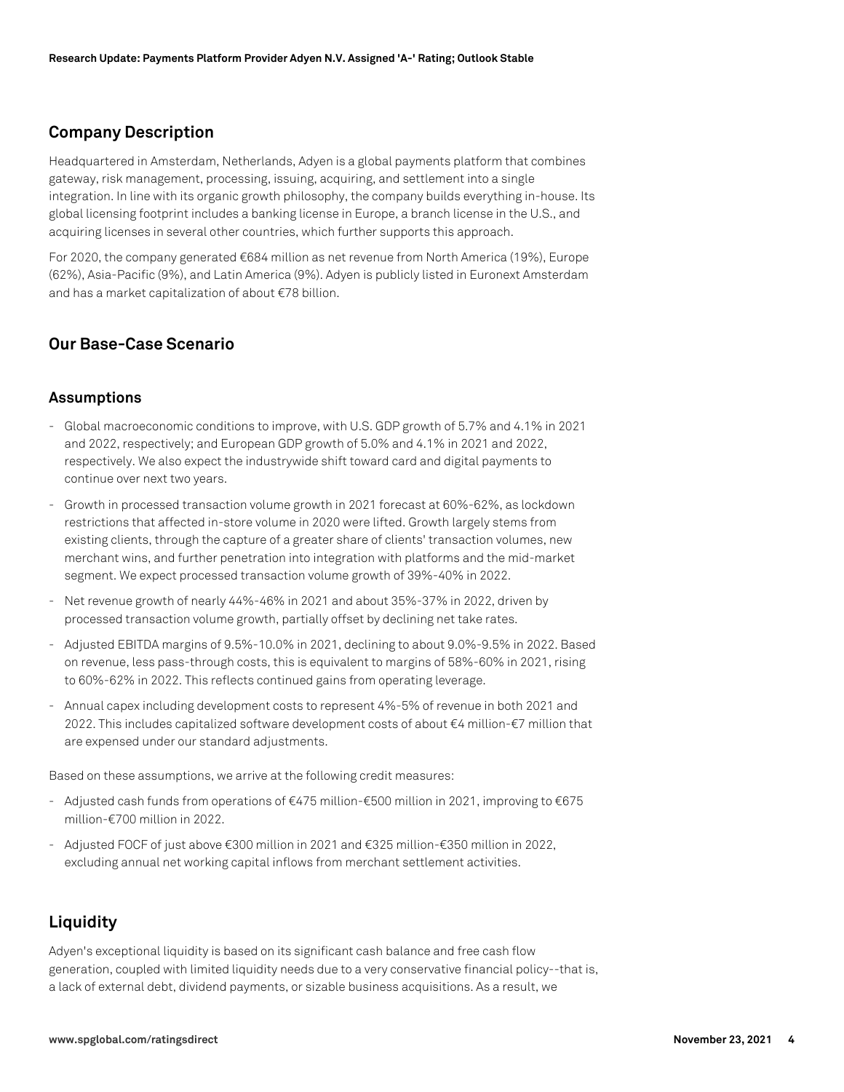### **Company Description**

Headquartered in Amsterdam, Netherlands, Adyen is a global payments platform that combines gateway, risk management, processing, issuing, acquiring, and settlement into a single integration. In line with its organic growth philosophy, the company builds everything in-house. Its global licensing footprint includes a banking license in Europe, a branch license in the U.S., and acquiring licenses in several other countries, which further supports this approach.

For 2020, the company generated €684 million as net revenue from North America (19%), Europe (62%), Asia-Pacific (9%), and Latin America (9%). Adyen is publicly listed in Euronext Amsterdam and has a market capitalization of about €78 billion.

## **Our Base-Case Scenario**

#### **Assumptions**

- Global macroeconomic conditions to improve, with U.S. GDP growth of 5.7% and 4.1% in 2021 and 2022, respectively; and European GDP growth of 5.0% and 4.1% in 2021 and 2022, respectively. We also expect the industrywide shift toward card and digital payments to continue over next two years.
- Growth in processed transaction volume growth in 2021 forecast at 60%-62%, as lockdown restrictions that affected in-store volume in 2020 were lifted. Growth largely stems from existing clients, through the capture of a greater share of clients' transaction volumes, new merchant wins, and further penetration into integration with platforms and the mid-market segment. We expect processed transaction volume growth of 39%-40% in 2022.
- Net revenue growth of nearly 44%-46% in 2021 and about 35%-37% in 2022, driven by processed transaction volume growth, partially offset by declining net take rates.
- Adjusted EBITDA margins of 9.5%-10.0% in 2021, declining to about 9.0%-9.5% in 2022. Based on revenue, less pass-through costs, this is equivalent to margins of 58%-60% in 2021, rising to 60%-62% in 2022. This reflects continued gains from operating leverage.
- Annual capex including development costs to represent 4%-5% of revenue in both 2021 and 2022. This includes capitalized software development costs of about €4 million-€7 million that are expensed under our standard adjustments.

Based on these assumptions, we arrive at the following credit measures:

- Adjusted cash funds from operations of €475 million-€500 million in 2021, improving to €675 million-€700 million in 2022.
- Adjusted FOCF of just above €300 million in 2021 and €325 million-€350 million in 2022, excluding annual net working capital inflows from merchant settlement activities.

# **Liquidity**

Adyen's exceptional liquidity is based on its significant cash balance and free cash flow generation, coupled with limited liquidity needs due to a very conservative financial policy--that is, a lack of external debt, dividend payments, or sizable business acquisitions. As a result, we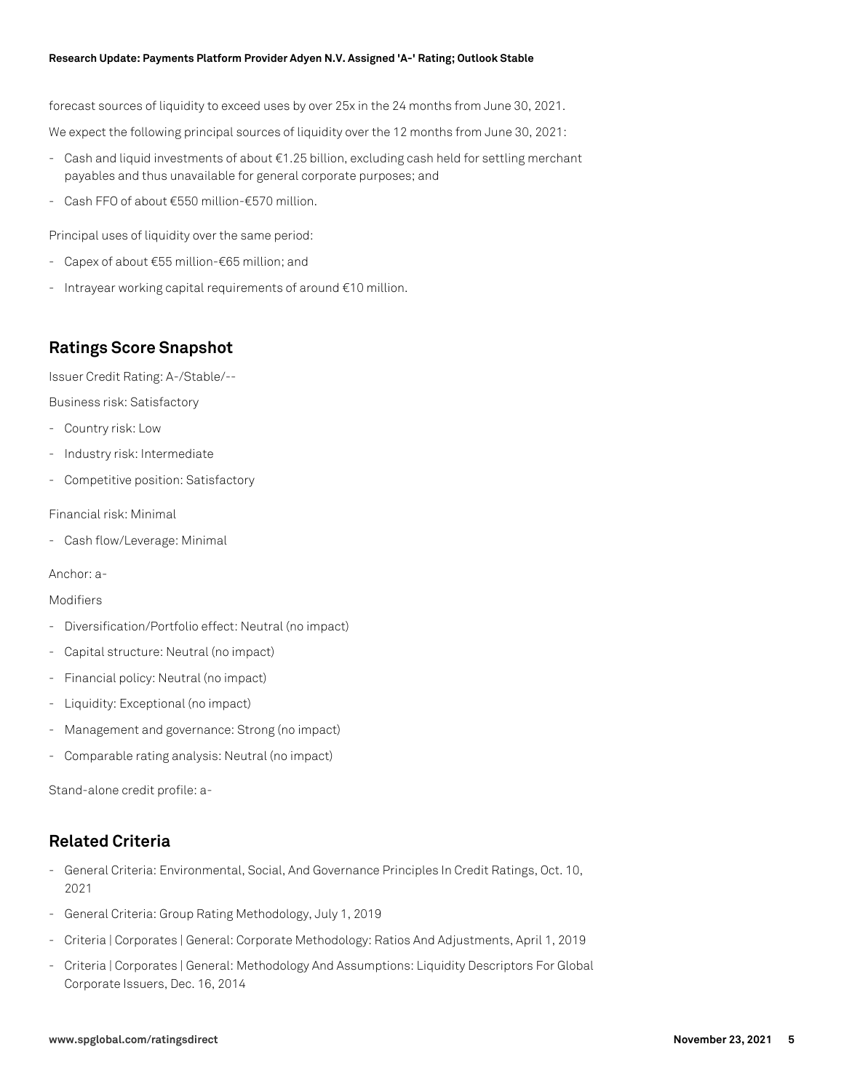#### **Research Update: Payments Platform Provider Adyen N.V. Assigned 'A-' Rating; Outlook Stable**

forecast sources of liquidity to exceed uses by over 25x in the 24 months from June 30, 2021.

We expect the following principal sources of liquidity over the 12 months from June 30, 2021:

- Cash and liquid investments of about €1.25 billion, excluding cash held for settling merchant payables and thus unavailable for general corporate purposes; and
- Cash FFO of about €550 million-€570 million.

Principal uses of liquidity over the same period:

- Capex of about €55 million-€65 million; and
- Intrayear working capital requirements of around €10 million.

## **Ratings Score Snapshot**

Issuer Credit Rating: A-/Stable/--

Business risk: Satisfactory

- Country risk: Low
- Industry risk: Intermediate
- Competitive position: Satisfactory

Financial risk: Minimal

- Cash flow/Leverage: Minimal

Anchor: a-

#### Modifiers

- Diversification/Portfolio effect: Neutral (no impact)
- Capital structure: Neutral (no impact)
- Financial policy: Neutral (no impact)
- Liquidity: Exceptional (no impact)
- Management and governance: Strong (no impact)
- Comparable rating analysis: Neutral (no impact)

Stand-alone credit profile: a-

# **Related Criteria**

- General Criteria: Environmental, Social, And Governance Principles In Credit Ratings, Oct. 10, 2021
- General Criteria: Group Rating Methodology, July 1, 2019
- Criteria | Corporates | General: Corporate Methodology: Ratios And Adjustments, April 1, 2019
- Criteria | Corporates | General: Methodology And Assumptions: Liquidity Descriptors For Global Corporate Issuers, Dec. 16, 2014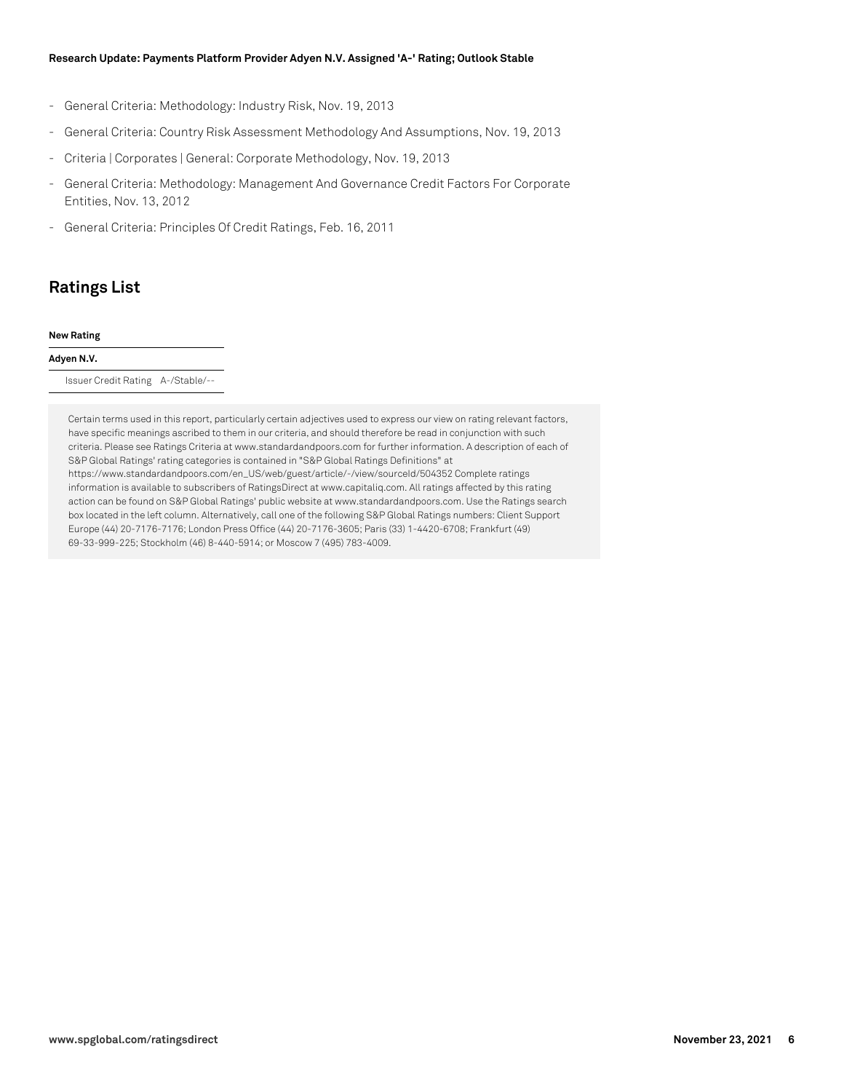#### **Research Update: Payments Platform Provider Adyen N.V. Assigned 'A-' Rating; Outlook Stable**

- General Criteria: Methodology: Industry Risk, Nov. 19, 2013
- General Criteria: Country Risk Assessment Methodology And Assumptions, Nov. 19, 2013
- Criteria | Corporates | General: Corporate Methodology, Nov. 19, 2013
- General Criteria: Methodology: Management And Governance Credit Factors For Corporate Entities, Nov. 13, 2012
- General Criteria: Principles Of Credit Ratings, Feb. 16, 2011

# **Ratings List**

#### **New Rating**

#### **Adyen N.V.**

Issuer Credit Rating A-/Stable/--

Certain terms used in this report, particularly certain adjectives used to express our view on rating relevant factors, have specific meanings ascribed to them in our criteria, and should therefore be read in conjunction with such criteria. Please see Ratings Criteria at www.standardandpoors.com for further information. A description of each of S&P Global Ratings' rating categories is contained in "S&P Global Ratings Definitions" at https://www.standardandpoors.com/en\_US/web/guest/article/-/view/sourceId/504352 Complete ratings information is available to subscribers of RatingsDirect at www.capitaliq.com. All ratings affected by this rating action can be found on S&P Global Ratings' public website at www.standardandpoors.com. Use the Ratings search box located in the left column. Alternatively, call one of the following S&P Global Ratings numbers: Client Support Europe (44) 20-7176-7176; London Press Office (44) 20-7176-3605; Paris (33) 1-4420-6708; Frankfurt (49) 69-33-999-225; Stockholm (46) 8-440-5914; or Moscow 7 (495) 783-4009.